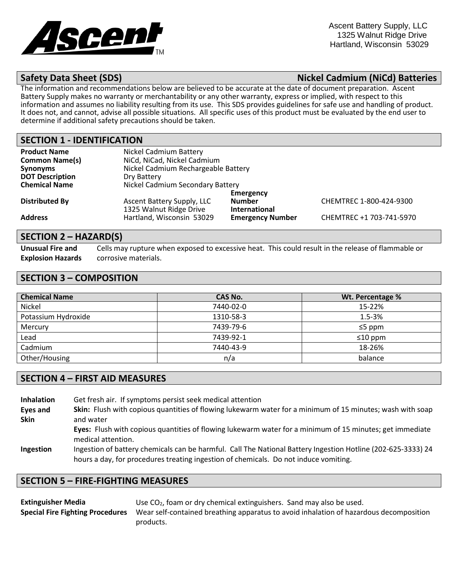

#### **Safety Data Sheet (SDS) Nickel Cadmium (NiCd) Batteries**

The information and recommendations below are believed to be accurate at the date of document preparation. Ascent Battery Supply makes no warranty or merchantability or any other warranty, express or implied, with respect to this information and assumes no liability resulting from its use. This SDS provides guidelines for safe use and handling of product. It does not, and cannot, advise all possible situations. All specific uses of this product must be evaluated by the end user to determine if additional safety precautions should be taken.

# **SECTION 1 - IDENTIFICATION**

| <b>Product Name</b><br><b>Common Name(s)</b><br><b>Synonyms</b><br><b>DOT Description</b><br><b>Chemical Name</b> | Nickel Cadmium Battery<br>NiCd, NiCad, Nickel Cadmium<br>Nickel Cadmium Rechargeable Battery<br>Dry Battery |                                                    |                          |  |
|-------------------------------------------------------------------------------------------------------------------|-------------------------------------------------------------------------------------------------------------|----------------------------------------------------|--------------------------|--|
|                                                                                                                   | Nickel Cadmium Secondary Battery                                                                            |                                                    |                          |  |
| <b>Distributed By</b>                                                                                             | Ascent Battery Supply, LLC<br>1325 Walnut Ridge Drive                                                       | Emergency<br><b>Number</b><br><b>International</b> | CHEMTREC 1-800-424-9300  |  |
| <b>Address</b>                                                                                                    | Hartland, Wisconsin 53029                                                                                   | <b>Emergency Number</b>                            | CHEMTREC +1 703-741-5970 |  |

#### **SECTION 2 – HAZARD(S)**

**Unusual Fire and Explosion Hazards**

Cells may rupture when exposed to excessive heat. This could result in the release of flammable or

corrosive materials.

#### **SECTION 3 – COMPOSITION**

| <b>Chemical Name</b> | <b>CAS No.</b> | Wt. Percentage % |
|----------------------|----------------|------------------|
| Nickel               | 7440-02-0      | 15-22%           |
| Potassium Hydroxide  | 1310-58-3      | $1.5 - 3%$       |
| Mercury              | 7439-79-6      | $\leq$ 5 ppm     |
| Lead                 | 7439-92-1      | $≤10$ ppm        |
| Cadmium              | 7440-43-9      | 18-26%           |
| Other/Housing        | n/a            | balance          |

# **SECTION 4 – FIRST AID MEASURES**

**Inhalation** Get fresh air. If symptoms persist seek medical attention **Eyes and Skin Skin:** Flush with copious quantities of flowing lukewarm water for a minimum of 15 minutes; wash with soap and water **Eyes:** Flush with copious quantities of flowing lukewarm water for a minimum of 15 minutes; get immediate medical attention. **Ingestion** Ingestion of battery chemicals can be harmful. Call The National Battery Ingestion Hotline (202-625-3333) 24 hours a day, for procedures treating ingestion of chemicals. Do not induce vomiting.

# **SECTION 5 – FIRE-FIGHTING MEASURES**

**Extinguisher Media** Use CO<sub>2</sub>, foam or dry chemical extinguishers. Sand may also be used. **Special Fire Fighting Procedures** Wear self-contained breathing apparatus to avoid inhalation of hazardous decomposition products.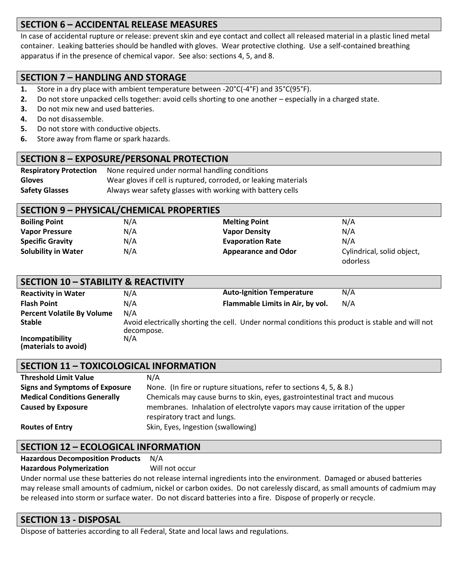# **SECTION 6 – ACCIDENTAL RELEASE MEASURES**

In case of accidental rupture or release: prevent skin and eye contact and collect all released material in a plastic lined metal container. Leaking batteries should be handled with gloves. Wear protective clothing. Use a self-contained breathing apparatus if in the presence of chemical vapor. See also: sections 4, 5, and 8.

# **SECTION 7 – HANDLING AND STORAGE**

- **1.** Store in a dry place with ambient temperature between -20°C(-4°F) and 35°C(95°F).
- **2.** Do not store unpacked cells together: avoid cells shorting to one another especially in a charged state.
- **3.** Do not mix new and used batteries.
- **4.** Do not disassemble.
- **5.** Do not store with conductive objects.
- **6.** Store away from flame or spark hazards.

# **SECTION 8 – EXPOSURE/PERSONAL PROTECTION**

| <b>Respiratory Protection</b> | None required under normal handling conditions                  |  |  |
|-------------------------------|-----------------------------------------------------------------|--|--|
| <b>Gloves</b>                 | Wear gloves if cell is ruptured, corroded, or leaking materials |  |  |
| <b>Safety Glasses</b>         | Always wear safety glasses with working with battery cells      |  |  |

#### **SECTION 9 – PHYSICAL/CHEMICAL PROPERTIES**

| <b>Boiling Point</b>       | N/A | <b>Melting Point</b>       | N/A                                    |
|----------------------------|-----|----------------------------|----------------------------------------|
| <b>Vapor Pressure</b>      | N/A | <b>Vapor Density</b>       | N/A                                    |
| <b>Specific Gravity</b>    | N/A | <b>Evaporation Rate</b>    | N/A                                    |
| <b>Solubility in Water</b> | N/A | <b>Appearance and Odor</b> | Cylindrical, solid object,<br>odorless |

| <b>SECTION 10 - STABILITY &amp; REACTIVITY</b>     |                   |                                                                                                   |     |
|----------------------------------------------------|-------------------|---------------------------------------------------------------------------------------------------|-----|
| <b>Reactivity in Water</b>                         | N/A               | <b>Auto-Ignition Temperature</b>                                                                  | N/A |
| <b>Flash Point</b>                                 | N/A               | Flammable Limits in Air, by vol.                                                                  | N/A |
| <b>Percent Volatile By Volume</b><br><b>Stable</b> | N/A               | Avoid electrically shorting the cell. Under normal conditions this product is stable and will not |     |
| Incompatibility<br>(materials to avoid)            | decompose.<br>N/A |                                                                                                   |     |

# **SECTION 11 – TOXICOLOGICAL INFORMATION**

| <b>Threshold Limit Value</b>          | N/A                                                                                                           |
|---------------------------------------|---------------------------------------------------------------------------------------------------------------|
| <b>Signs and Symptoms of Exposure</b> | None. (In fire or rupture situations, refer to sections 4, 5, & 8.)                                           |
| <b>Medical Conditions Generally</b>   | Chemicals may cause burns to skin, eyes, gastrointestinal tract and mucous                                    |
| <b>Caused by Exposure</b>             | membranes. Inhalation of electrolyte vapors may cause irritation of the upper<br>respiratory tract and lungs. |
| <b>Routes of Entry</b>                | Skin, Eyes, Ingestion (swallowing)                                                                            |

# **SECTION 12 – ECOLOGICAL INFORMATION**

**Hazardous Decomposition Products** N/A

**Hazardous Polymerization** Will not occur

Under normal use these batteries do not release internal ingredients into the environment. Damaged or abused batteries may release small amounts of cadmium, nickel or carbon oxides. Do not carelessly discard, as small amounts of cadmium may be released into storm or surface water. Do not discard batteries into a fire. Dispose of properly or recycle.

# **SECTION 13 - DISPOSAL**

Dispose of batteries according to all Federal, State and local laws and regulations.